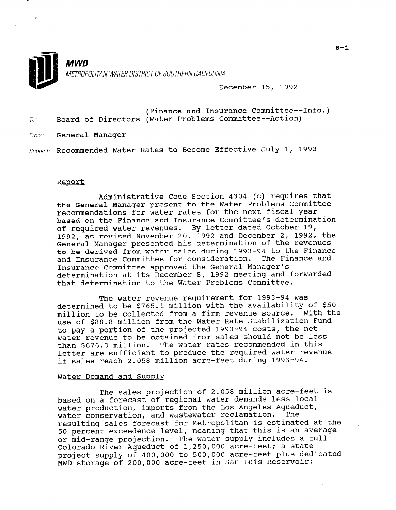

**MWD** METROPOLITAN WATER DISTRICT OF SOUTHERN CALIFORNIA

December 15, 1992

- (Finance and Insurance Committee--Info.) To: Board of Directors (Water Problems Committee--Action)
- From: **General Manager**

Subject: Recommended Water Rates to Become Effective July 1, 1993

#### Report

Administrative Code Section 4304 (c) requires that the General Manager present to the Water Problems Committee recommendations for water rates for the next fiscal year based on the Finance and Insurance Committee's determination of required water revenues. By letter dated October 19, 1992, as revised November 20, 1992 and December 2, 1992, the General Manager presented his determination of the revenues to be derived from water sales during 1993-94 to the Finance and Insurance Committee for consideration. The Finance and Insurance Committee approved the General Manager's determination at its December 8, 1992 meeting and forwarded that determination to the Water Problems Committee.

The water revenue requirement for 1993-94 was determined to be \$765.1 million with the availability of \$50 million to be collected from a firm revenue source. With the use of \$88.8 million from the Water Rate Stabilization Fund to pay a portion of the projected 1993-94 costs, the net water revenue to be obtained from sales should not be less than \$676.3 million. The water rates recommended in this letter are sufficient to produce the required water revenue if sales reach 2.058 million acre-feet during 1993-94.

### Water Demand and Supply

The sales projection of 2.058 million acre-feet is based on a forecast of regional water demands less local pased on a forecast of regional water demands fees for<br>water production, imports from the Los Angeles Aqueduct water production, imports from the los Angeles Aqued water conservation, and wastewater reclamation. The<br>resulting sales forecast for Metropolitan is estimated at the 50 percent exceedence level, meaning that this is an average or mid-range projection. The water supply includes a full Colorado River Aqueduct of 1,250,000 acre-feet; a state project supply of 400,000 to 500,000 acre-feet plus dedicated MWD storage of 200,000 acre-feet in San Luis Reservoir;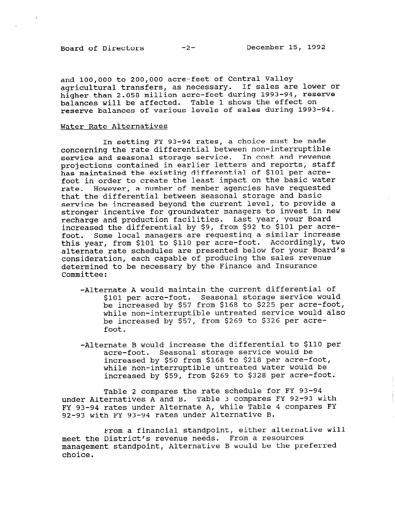$\sim$ 

and 100,000 to 200,000 acre-feet of Central Valley agricultural transfers, as necessary. If sales are lower or higher than 2.058 million acre-feet during 1993-94, reserve balances will be affected. Table 1 shows the effect on reserve balances of various levels of sales during 1993-94.

## Water Rate Alternatives

In setting FY 93-94 rates, a choice must be made concerning the rate differential between non-interruptible service and seasonal storage service. In cost and revenue projections contained in earlier letters and reports, staff has maintained the existing differential of \$101 per acrefoot in order to create the least impact on the basic water rate. However, a number of member agencies have requested that the differential between seasonal storage and basic service be increased beyond the current level, to provide a stronger incentive for groundwater managers to invest in new recharge and production facilities. Last year, your Board increased the differential by \$9, from \$92 to \$101 per acrefoot. Some local managers are requesting a similar increase this year, from \$101 to \$110 per acre-foot. Accordingly, two alternate rate schedules are presented below for your Board's consideration, each capable of producing the sales revenue determined to be necessary by the Finance and Insurance Committee:

- -Alternate A would maintain the current differential of \$101 per acre-foot. Seasonal storage service would be increased by \$57 from \$168 to \$225 per acre-foot, while non-interruptible untreated service would also be increased by \$57, from \$269 to \$326 per acrefoot.
- -Alternate B would increase the differential to \$110 per acre-foot. Seasonal storage service would be increased by \$50 from \$168 to \$218 per acre-foot, while non-interruptible untreated water would be increased by \$59, from \$269 to \$328 per acre-foot.

Table 2 compares the rate schedule for FY 93-94 under Alternatives A and B. Table 3 compares FY 92-93 with FY 93-94 rates under Alternate A, while Table 4 compares FY 92-93 with FY 93-94 rates under Alternative B.

From a financial standpoint, either alternative will meet the District's revenue needs. From a resources meet the DIStrict's revenue needs. Thom a resources<br>were wounded to alternative B would be the preferr choice.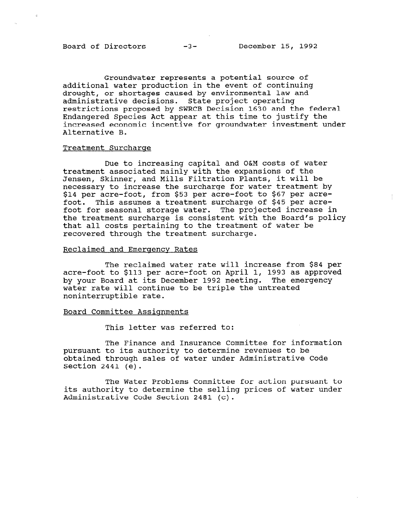Groundwater represents a potential source of additional water production in the event of continuing drought, or shortages caused by environmental law and administrative decisions. State project operating restrictions proposed by SWRCB Decision 1630 and the federal Endangered Species Act appear at this time to justify the increased economic incentive for groundwater investment under Alternative B.

#### Treatment Surcharge

Due to increasing capital and O&M costs of water treatment associated mainly with the expansions of the Jensen, Skinner, and Mills Filtration Plants, it will be necessary to increase the surcharge for water treatment by \$14 per acre-foot, from \$53 per acre-foot to \$67 per acrefoot. This assumes a treatment surcharge of \$45 per acrefoot for seasonal storage water. The projected increase in the treatment surcharge is consistent with the Board's policy that all costs pertaining to the treatment of water be recovered through the treatment surcharge.

### Reclaimed and Emergency Rates

The reclaimed water rate will increase from \$84 per acre-foot to \$113 per acre-foot on April 1, 1993 as approved by your Board at its December 1992 meeting. The emergency water rate will continue to be triple the untreated noninterruptible rate.

#### Board Committee Assiqnments

This letter was referred to:

The Finance and Insurance Committee for information pursuant to its authority to determine revenues to be obtained through sales of water under Administrative Code Section 2441 (e).

The Water Problems Committee for action pursuant to its authority to determine the selling prices of water under Administrative Code Section 2481 (c).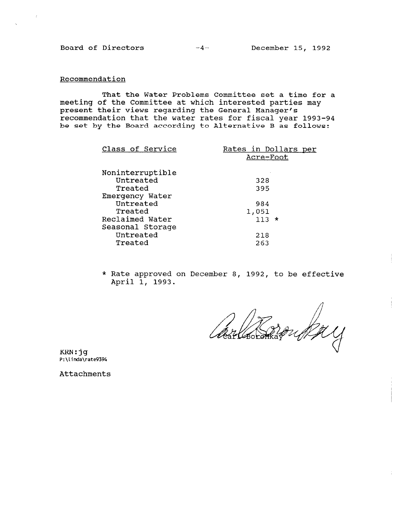Board of Directors -4- December 15, 1992

## Recommendation

That the Water Problems Committee set a time for a meeting of the Committee at which interested parties may present their views regarding the General Manager's recommendation that the water rates for fiscal year 1993-94 be set by the Board according to Alternative B as follows:

| Class of Service | Rates in Dollars per<br>Acre-Foot |
|------------------|-----------------------------------|
| Noninterruptible |                                   |
| Untreated        | 328                               |
| Treated          | 395                               |
| Emergency Water  |                                   |
| Untreated        | 984                               |
| Treated          | 1,051                             |
| Reclaimed Water  | $113 \times$                      |
| Seasonal Storage |                                   |
| Untreated        | 218                               |
| Treated          | 263                               |
|                  |                                   |

\* Rate approved on December 8, 1992, to be effective April 1, 1993.

Bay

KRN:jg P:\linda\rate9394

Attachments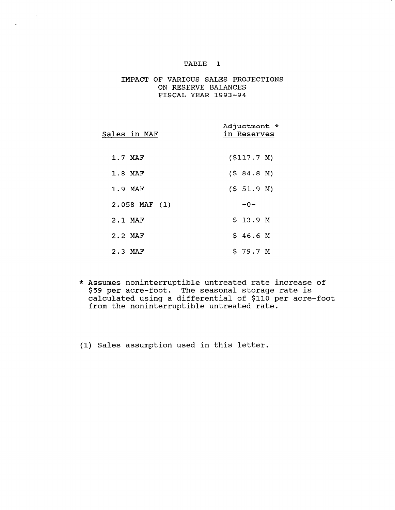$\mathcal{L}$ 

 $\hat{\sigma}_k$ 

## IMPACT OF VARIOUS SALES PROJECTIONS ON RESERVE BALANCES FISCAL YEAR 1993-94

| Sales in MAF      | Adjustment *<br>in Reserves |
|-------------------|-----------------------------|
| 1.7 MAF           | (S117.7 M)                  |
| 1.8 MAF           | (584.8 M)                   |
| 1.9 MAF           | (5 51.9 M)                  |
| $2.058$ MAF $(1)$ | $-0-$                       |
| 2.1 MAF           | \$ 13.9 M                   |
| $2.2$ MAF         | \$46.6M                     |
| 2.3 MAF           | \$79.7 M                    |

\* Assumes noninterruptible untreated rate increase of \$59 per acre-foot. The seasonal storage rate is pos por acre roce: "The Boabonar Boorago race ro<br>calculated using a differential of \$110 per acre-f from the noninterruptible untreated rate.

(1) Sales assumption used in this letter.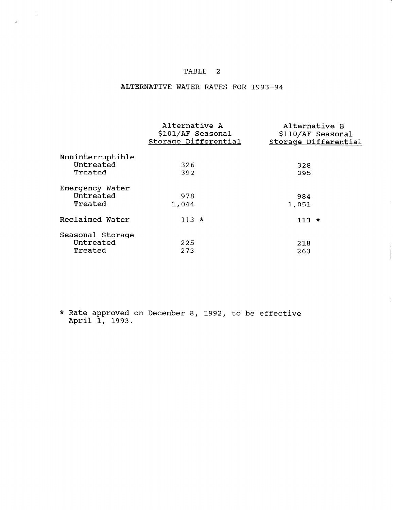$\sim 20$ 

 $\hat{\mathbf{e}}_{\mathbf{k}}$ 

# ALTERNATIVE WATER RATES FOR 1993-94

|                  | Alternative A<br>\$101/AF Seasonal<br>Storage Differential | Alternative B | \$110/AF Seasonal<br>Storage Differential |
|------------------|------------------------------------------------------------|---------------|-------------------------------------------|
| Noninterruptible |                                                            |               |                                           |
| Untreated        | 326                                                        | 328           |                                           |
| Treated          | 392                                                        | 395           |                                           |
| Emergency Water  |                                                            |               |                                           |
| Untreated        | 978                                                        | 984           |                                           |
| Treated          | 1,044                                                      | 1,051         |                                           |
| Reclaimed Water  | $113 *$                                                    | $113 *$       |                                           |
| Seasonal Storage |                                                            |               |                                           |
| Untreated        | 225                                                        | 218           |                                           |
| Treated          | 273                                                        | 263           |                                           |

 $\sim$ 

 $\frac{1}{2}$ 

 $*$  Rate approved on December 8, 1992, to be effect hucc approved.<br>April 1, 1993.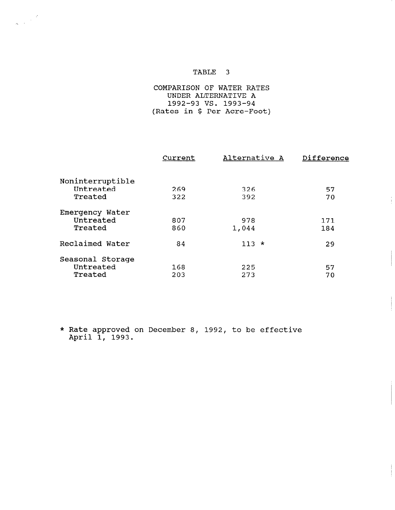## COMPARISON OF WATER RATES UNDER ALTERNATIVE A 1992-93 vs. 1993-94 (Rates in \$ Per Acre-Foot)

|                  | Current | Alternative A | Difference |
|------------------|---------|---------------|------------|
| Noninterruptible |         |               |            |
| Untreated        | 269     | 326           | 57         |
| Treated          | 322     | 392           | 70         |
| Emergency Water  |         |               |            |
| Untreated        | 807     | 978           | 171        |
| Treated          | 860     | 1,044         | 184        |
| Reclaimed Water  | 84      | $113 *$       | 29         |
| Seasonal Storage |         |               |            |
| Untreated        | 168     | 225           | 57         |
| Treated          | 203     | 273           | 70         |

 $\frac{1}{2}$ 

\* Rate approved on December 8, 1992, to be effective Adde approved